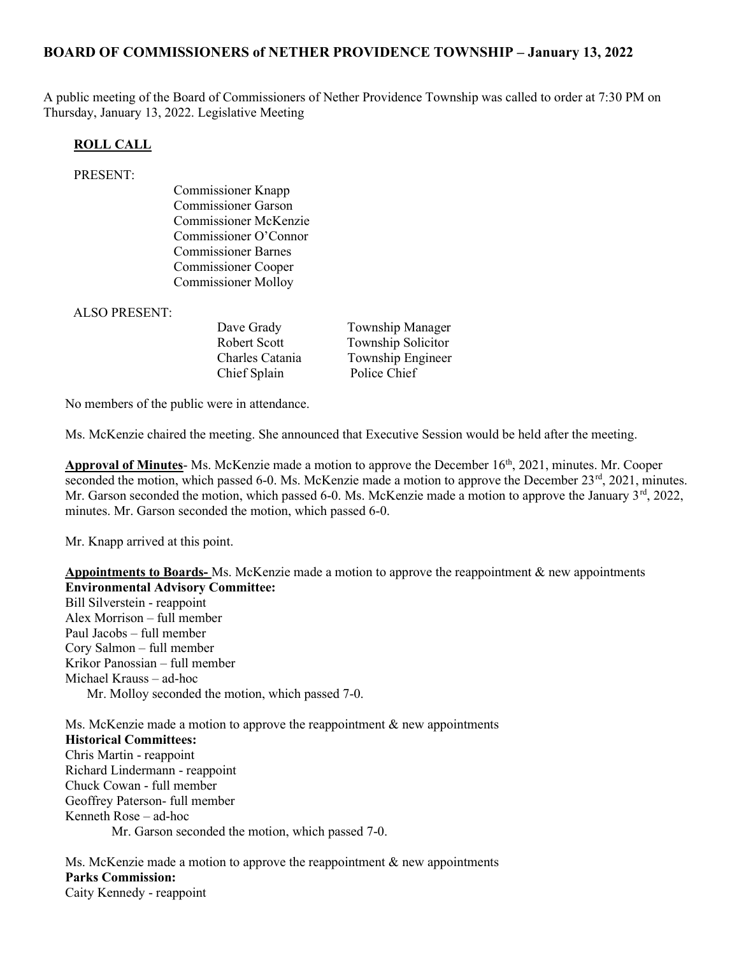## BOARD OF COMMISSIONERS of NETHER PROVIDENCE TOWNSHIP – January 13, 2022

A public meeting of the Board of Commissioners of Nether Providence Township was called to order at 7:30 PM on Thursday, January 13, 2022. Legislative Meeting

#### ROLL CALL

#### PRESENT:

Commissioner Knapp Commissioner Garson Commissioner McKenzie Commissioner O'Connor Commissioner Barnes Commissioner Cooper Commissioner Molloy

ALSO PRESENT:

Chief Splain Police Chief

Dave Grady Township Manager Robert Scott Township Solicitor Charles Catania Township Engineer

No members of the public were in attendance.

Ms. McKenzie chaired the meeting. She announced that Executive Session would be held after the meeting.

Approval of Minutes- Ms. McKenzie made a motion to approve the December 16<sup>th</sup>, 2021, minutes. Mr. Cooper seconded the motion, which passed 6-0. Ms. McKenzie made a motion to approve the December  $23^{rd}$ ,  $2021$ , minutes. Mr. Garson seconded the motion, which passed 6-0. Ms. McKenzie made a motion to approve the January 3<sup>rd</sup>, 2022, minutes. Mr. Garson seconded the motion, which passed 6-0.

Mr. Knapp arrived at this point.

**Appointments to Boards-** Ms. McKenzie made a motion to approve the reappointment  $\&$  new appointments Environmental Advisory Committee: Bill Silverstein - reappoint Alex Morrison – full member Paul Jacobs – full member Cory Salmon – full member Krikor Panossian – full member Michael Krauss – ad-hoc Mr. Molloy seconded the motion, which passed 7-0. Ms. McKenzie made a motion to approve the reappointment  $\&$  new appointments Historical Committees:

Chris Martin - reappoint Richard Lindermann - reappoint Chuck Cowan - full member Geoffrey Paterson- full member Kenneth Rose – ad-hoc Mr. Garson seconded the motion, which passed 7-0.

Ms. McKenzie made a motion to approve the reappointment & new appointments Parks Commission: Caity Kennedy - reappoint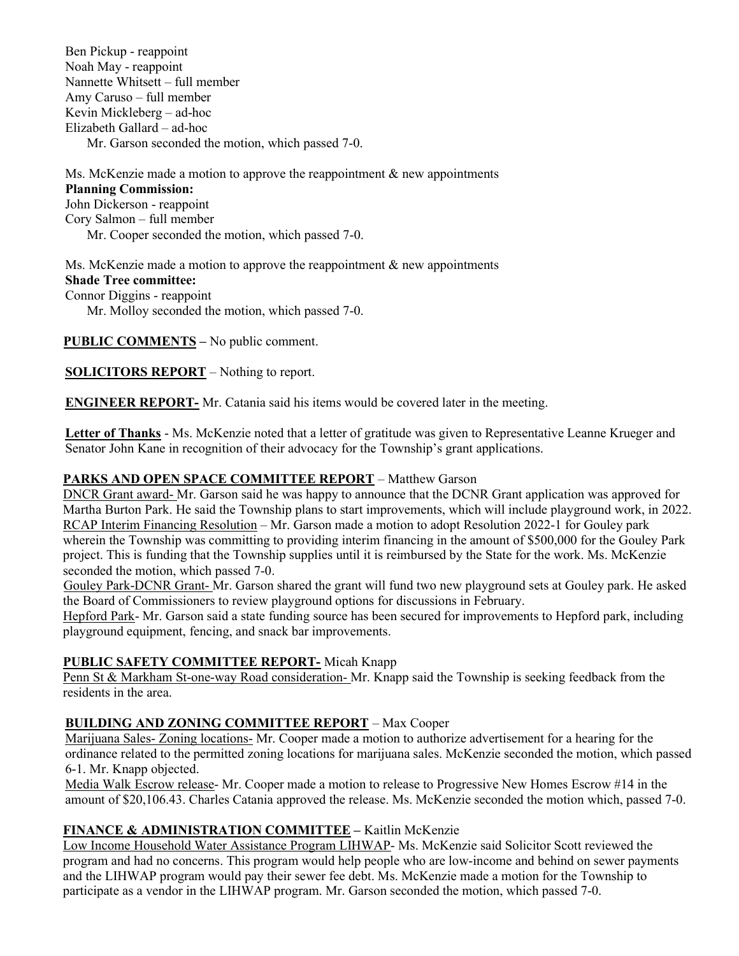Ben Pickup - reappoint Noah May - reappoint Nannette Whitsett – full member Amy Caruso – full member Kevin Mickleberg – ad-hoc Elizabeth Gallard – ad-hoc Mr. Garson seconded the motion, which passed 7-0.

Ms. McKenzie made a motion to approve the reappointment  $\&$  new appointments Planning Commission: John Dickerson - reappoint Cory Salmon – full member Mr. Cooper seconded the motion, which passed 7-0.

Ms. McKenzie made a motion to approve the reappointment  $\&$  new appointments Shade Tree committee: Connor Diggins - reappoint

Mr. Molloy seconded the motion, which passed 7-0.

**PUBLIC COMMENTS** – No public comment.

SOLICITORS REPORT – Nothing to report.

ENGINEER REPORT- Mr. Catania said his items would be covered later in the meeting.

Letter of Thanks - Ms. McKenzie noted that a letter of gratitude was given to Representative Leanne Krueger and Senator John Kane in recognition of their advocacy for the Township's grant applications.

#### PARKS AND OPEN SPACE COMMITTEE REPORT – Matthew Garson

DNCR Grant award- Mr. Garson said he was happy to announce that the DCNR Grant application was approved for Martha Burton Park. He said the Township plans to start improvements, which will include playground work, in 2022. RCAP Interim Financing Resolution – Mr. Garson made a motion to adopt Resolution 2022-1 for Gouley park wherein the Township was committing to providing interim financing in the amount of \$500,000 for the Gouley Park project. This is funding that the Township supplies until it is reimbursed by the State for the work. Ms. McKenzie seconded the motion, which passed 7-0.

Gouley Park-DCNR Grant- Mr. Garson shared the grant will fund two new playground sets at Gouley park. He asked the Board of Commissioners to review playground options for discussions in February.

Hepford Park- Mr. Garson said a state funding source has been secured for improvements to Hepford park, including playground equipment, fencing, and snack bar improvements.

#### PUBLIC SAFETY COMMITTEE REPORT- Micah Knapp

Penn St & Markham St-one-way Road consideration- Mr. Knapp said the Township is seeking feedback from the residents in the area.

#### BUILDING AND ZONING COMMITTEE REPORT – Max Cooper

Marijuana Sales- Zoning locations- Mr. Cooper made a motion to authorize advertisement for a hearing for the ordinance related to the permitted zoning locations for marijuana sales. McKenzie seconded the motion, which passed 6-1. Mr. Knapp objected.

Media Walk Escrow release- Mr. Cooper made a motion to release to Progressive New Homes Escrow #14 in the amount of \$20,106.43. Charles Catania approved the release. Ms. McKenzie seconded the motion which, passed 7-0.

### FINANCE & ADMINISTRATION COMMITTEE – Kaitlin McKenzie

Low Income Household Water Assistance Program LIHWAP- Ms. McKenzie said Solicitor Scott reviewed the program and had no concerns. This program would help people who are low-income and behind on sewer payments and the LIHWAP program would pay their sewer fee debt. Ms. McKenzie made a motion for the Township to participate as a vendor in the LIHWAP program. Mr. Garson seconded the motion, which passed 7-0.